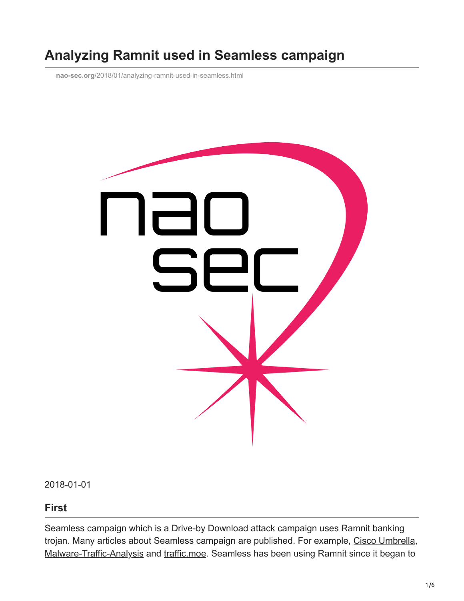# **Analyzing Ramnit used in Seamless campaign**

**nao-sec.org**[/2018/01/analyzing-ramnit-used-in-seamless.html](http://www.nao-sec.org/2018/01/analyzing-ramnit-used-in-seamless.html)



2018-01-01

#### **First**

Seamless campaign which is a Drive-by Download attack campaign uses Ramnit banking trojan. Many articles about Seamless campaign are published. For example, [Cisco Umbrella,](https://umbrella.cisco.com/blog/2017/03/29/seamless-campaign-delivers-ramnit-via-rig-ek/) [Malware-Traffic-Analysis](http://malware-traffic-analysis.net/2017/12/28/index.html) and [traffic.moe](https://traffic.moe/2017/12/25/index.html). Seamless has been using Ramnit since it began to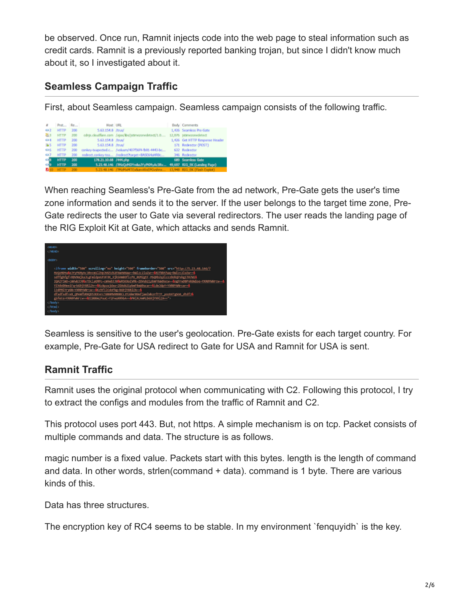be observed. Once run, Ramnit injects code into the web page to steal information such as credit cards. Ramnit is a previously reported banking trojan, but since I didn't know much about it, so I investigated about it.

# **Seamless Campaign Traffic**

First, about Seamless campaign. Seamless campaign consists of the following traffic.

| $\overline{z}$ | Prot Re     |     | Host URL              |                                                                    | Body Comments                  |
|----------------|-------------|-----|-----------------------|--------------------------------------------------------------------|--------------------------------|
| 452            | <b>HTTP</b> | 200 | 5.63.154.8 /trus/     |                                                                    | 1,426 Seamless Pre-Gate        |
| 第1             | <b>MTTP</b> | 200 |                       | cdnjs.cbudfare.com /ajax/lbs/jstimezonedetect/1.0                  | 12,076 jstimezonedetect        |
| 42-4           | <b>HTTP</b> | 200 | 5.63.154.8 /trus/     |                                                                    | 1,426 Get HTTP Response Header |
| $35 - 5$       | <b>HTTP</b> | 200 | 5.63.154.8 /trus/     |                                                                    | 171 Redrector (POST)           |
| 426            | <b>HTTP</b> | 200 |                       | conkey-teapected.c /volum/407f56f4-fb01-4443-bc                    | 632 Redrector                  |
| 657            | <b>HTTP</b> | 200 |                       | redrect.conkey-tea /redrect?target=BASE64aHRDc                     | 346 Redirector                 |
| <b>CHI</b>     | <b>HTTP</b> | 200 | 178.21.10.68 /444.php |                                                                    | 689 Searniess Gate             |
| c ign          | <b>HTTP</b> | 200 |                       | 5.23.48.146 //MzQzMDYw&aJYyPKMyAc3Rv 49,697 RIG_EK (Landing Page)  |                                |
| <b>ZI</b>      | ИТТР.       | 200 |                       | 5.23.48.146 /?MzHxMTExBan/WxEPGvshnx 13,948 RIG EK (Flash Exploit) |                                |

When reaching Seamless's Pre-Gate from the ad network, Pre-Gate gets the user's time zone information and sends it to the server. If the user belongs to the target time zone, Pre-Gate redirects the user to Gate via several redirectors. The user reads the landing page of the RIG Exploit Kit at Gate, which attacks and sends Ramnit.



Seamless is sensitive to the user's geolocation. Pre-Gate exists for each target country. For example, Pre-Gate for USA redirect to Gate for USA and Ramnit for USA is sent.

# **Ramnit Traffic**

Ramnit uses the original protocol when communicating with C2. Following this protocol, I try to extract the configs and modules from the traffic of Ramnit and C2.

This protocol uses port 443. But, not https. A simple mechanism is on tcp. Packet consists of multiple commands and data. The structure is as follows.

magic number is a fixed value. Packets start with this bytes. length is the length of command and data. In other words, strien(command + data). command is 1 byte. There are various kinds of this.

Data has three structures.

The encryption key of RC4 seems to be stable. In my environment `fenquyidh` is the key.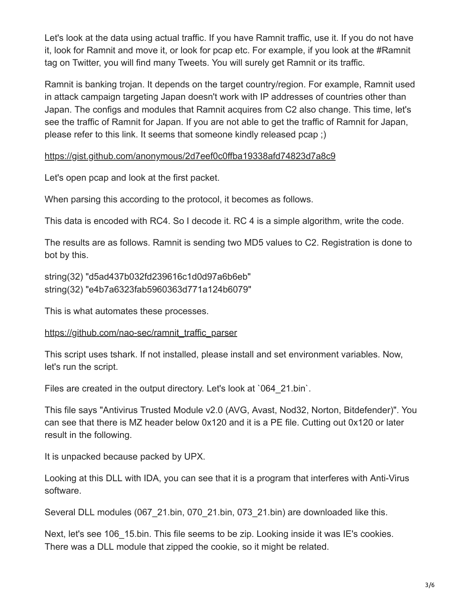Let's look at the data using actual traffic. If you have Ramnit traffic, use it. If you do not have it, look for Ramnit and move it, or look for pcap etc. For example, if you look at the #Ramnit tag on Twitter, you will find many Tweets. You will surely get Ramnit or its traffic.

Ramnit is banking trojan. It depends on the target country/region. For example, Ramnit used in attack campaign targeting Japan doesn't work with IP addresses of countries other than Japan. The configs and modules that Ramnit acquires from C2 also change. This time, let's see the traffic of Ramnit for Japan. If you are not able to get the traffic of Ramnit for Japan, please refer to this link. It seems that someone kindly released pcap ;)

<https://gist.github.com/anonymous/2d7eef0c0ffba19338afd74823d7a8c9>

Let's open pcap and look at the first packet.

When parsing this according to the protocol, it becomes as follows.

This data is encoded with RC4. So I decode it. RC 4 is a simple algorithm, write the code.

The results are as follows. Ramnit is sending two MD5 values to C2. Registration is done to bot by this.

string(32) "d5ad437b032fd239616c1d0d97a6b6eb" string(32) "e4b7a6323fab5960363d771a124b6079"

This is what automates these processes.

#### [https://github.com/nao-sec/ramnit\\_traffic\\_parser](https://github.com/nao-sec/ramnit_traffic_parser)

This script uses tshark. If not installed, please install and set environment variables. Now, let's run the script.

Files are created in the output directory. Let's look at '064 21.bin'.

This file says "Antivirus Trusted Module v2.0 (AVG, Avast, Nod32, Norton, Bitdefender)". You can see that there is MZ header below 0x120 and it is a PE file. Cutting out 0x120 or later result in the following.

It is unpacked because packed by UPX.

Looking at this DLL with IDA, you can see that it is a program that interferes with Anti-Virus software.

Several DLL modules (067-21.bin, 070-21.bin, 073-21.bin) are downloaded like this.

Next, let's see 106 15.bin. This file seems to be zip. Looking inside it was IE's cookies. There was a DLL module that zipped the cookie, so it might be related.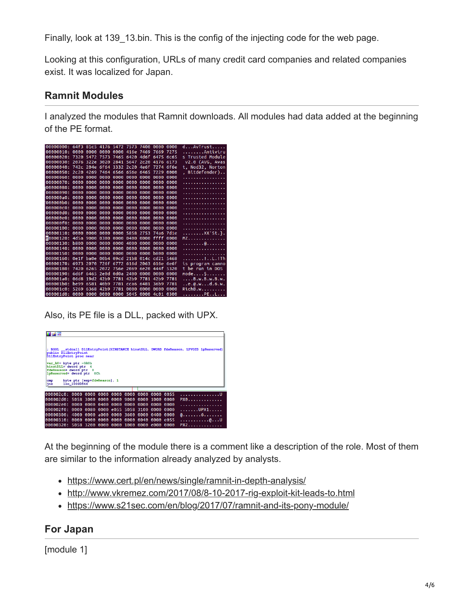Finally, look at 139–13.bin. This is the config of the injecting code for the web page.

Looking at this configuration, URLs of many credit card companies and related companies exist. It was localized for Japan.

#### **Ramnit Modules**

I analyzed the modules that Ramnit downloads. All modules had data added at the beginning of the PE format.

| 00000000: 64†3 81⊂5 4176 5472 7573 7400 0000 0000 |  |                                    |  |                                                |      | dAvTrust                         |
|---------------------------------------------------|--|------------------------------------|--|------------------------------------------------|------|----------------------------------|
| 00000010: 0000 0000 0000 0000 416e 7469 7669 7275 |  |                                    |  |                                                |      | Antiviru                         |
| 00000020: 7320 5472 7573 7465 6420 4d6f 6475 6c65 |  |                                    |  |                                                |      | s Trusted Module                 |
| 00000030:                                         |  |                                    |  | 2076 322e 3020 2841 5647 2c20 4176 6173        |      | v2.0 (AVG, Avas                  |
| 00000040:                                         |  |                                    |  | 742c 204e 6f64 3332 2c20 4e6f 7274 6f6e        |      | t, Nod32, Norton                 |
| 00000050: 2c20 4269 7464 6566 656e 6465 7229 0000 |  |                                    |  |                                                |      | , Bitdefender)                   |
|                                                   |  |                                    |  |                                                |      | .                                |
| 00000070:                                         |  |                                    |  | 0000 0000 0000 0000 0000 0000 0000 0000        |      | .                                |
| 00000080:                                         |  |                                    |  | 0000 0000 0000 0000 0000 0000 0000 0000        |      | .                                |
|                                                   |  |                                    |  |                                                |      | .                                |
|                                                   |  |                                    |  |                                                |      | .                                |
| 00000000:                                         |  |                                    |  | 0000 0000 0000 0000 0000 0000 0000 0000        |      | .                                |
|                                                   |  |                                    |  |                                                |      | .                                |
|                                                   |  |                                    |  |                                                |      | .                                |
|                                                   |  |                                    |  |                                                |      | .                                |
| $000000f0$ :                                      |  |                                    |  | 0000 0000 0000 0000 0000 0000 0000 0000        |      | .                                |
|                                                   |  |                                    |  |                                                |      | .                                |
| 00000110: 0000 0000 0000 0000 5858 2753 74a6 7d1e |  |                                    |  |                                                |      | XX'St.}.                         |
| 00000120: 4d5a 9000 0300 0000 0400 0000 ffff 0000 |  |                                    |  |                                                |      | MZ.                              |
| 00000130:                                         |  |                                    |  | <b>b800 0000 0000 0000 4000 0000 0000 0000</b> |      | . @.                             |
|                                                   |  |                                    |  |                                                |      | .                                |
|                                                   |  |                                    |  |                                                |      | .                                |
| 00000160: 0e1f ba0e 00b4 09cd 21b8 014c cd21 5468 |  |                                    |  |                                                |      | . ! L . ! Th                     |
| 00000170:                                         |  |                                    |  | 6973 2070 726f 6772 616d 2063 616e 6e6f        |      | is program canno                 |
| 00000180: 7420 6265 2072 756e 2069 6e20 444f 5320 |  |                                    |  |                                                |      | t be run in DOS                  |
| 00000190:                                         |  |                                    |  | 6d6f 6465 2e0d 0d0a 2400 0000 0000 0000        |      | $mode$ $$                        |
| 000001a0: 06d8 19d2 42b9 7781 42b9 7781 42b9 7781 |  |                                    |  |                                                |      | $\ldots$ . B. w. B. w. B. w.     |
| 000001b0:                                         |  | be99 6581 40b9 7781 cca6 6481 36b9 |  |                                                | 7781 | $\ldots$ e. $@.w. \ldots$ d.6.w. |
| 000001c0: 5269 6368 42b9 7781 0000 0000 0000 0000 |  |                                    |  |                                                |      | RichB.w                          |
| 000001d0: 0000 0000 0000 0000 5045 0000 4c01 0300 |  |                                    |  |                                                |      | . PE. . L.                       |

Also, its PE file is a DLL, packed with UPX.

| 商階                                                                                                                                        |                                                                                                        |                                         |  |  |  |  |  |  |       |  |  |
|-------------------------------------------------------------------------------------------------------------------------------------------|--------------------------------------------------------------------------------------------------------|-----------------------------------------|--|--|--|--|--|--|-------|--|--|
| ; BOOL __stdcall DllEntryPoint(HINSTANCE hinstDLL, DWORD fdwReason, LPVOID lpReserved)<br>public D11EntryPoint<br>DllEntryPoint proc near |                                                                                                        |                                         |  |  |  |  |  |  |       |  |  |
|                                                                                                                                           | var_A0= byte ptr -0A0h<br>hinstDLL= dword ptr 4<br>fdwReason= dword ptr 8<br>lpReserved= dword ptr 0Ch |                                         |  |  |  |  |  |  |       |  |  |
| byte ptr [esp+fdwReason], 1<br>cmp<br>loc 1000D544<br>jnz                                                                                 |                                                                                                        |                                         |  |  |  |  |  |  |       |  |  |
|                                                                                                                                           |                                                                                                        |                                         |  |  |  |  |  |  |       |  |  |
|                                                                                                                                           |                                                                                                        |                                         |  |  |  |  |  |  |       |  |  |
|                                                                                                                                           |                                                                                                        |                                         |  |  |  |  |  |  | . U   |  |  |
| 000002d0: 5058 3000 0000 0000 9000 0000 1000 0000                                                                                         |                                                                                                        |                                         |  |  |  |  |  |  | PX0   |  |  |
|                                                                                                                                           |                                                                                                        |                                         |  |  |  |  |  |  | .     |  |  |
| 000002f0:                                                                                                                                 |                                                                                                        | 0000 0080 0000 e055 5058 3100 0000 0000 |  |  |  |  |  |  | .UPX1 |  |  |
| 00000300:                                                                                                                                 |                                                                                                        | 4000 0000 a000 0000 3600 0000 0400 0000 |  |  |  |  |  |  | 0. 6  |  |  |
| 00000310:                                                                                                                                 |                                                                                                        | 0000 0000 0000 0000 0000 0040 0000 e055 |  |  |  |  |  |  | . @ U |  |  |

At the beginning of the module there is a comment like a description of the role. Most of them are similar to the information already analyzed by analysts.

- <https://www.cert.pl/en/news/single/ramnit-in-depth-analysis/>
- <http://www.vkremez.com/2017/08/8-10-2017-rig-exploit-kit-leads-to.html>
- <https://www.s21sec.com/en/blog/2017/07/ramnit-and-its-pony-module/>

### **For Japan**

[module 1]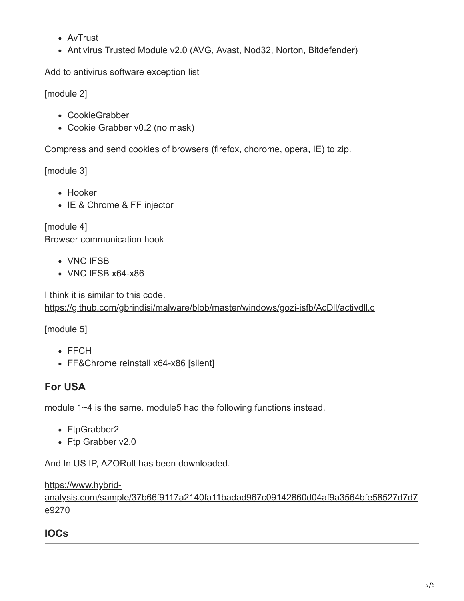- AvTrust
- Antivirus Trusted Module v2.0 (AVG, Avast, Nod32, Norton, Bitdefender)

Add to antivirus software exception list

[module 2]

- CookieGrabber
- Cookie Grabber v0.2 (no mask)

Compress and send cookies of browsers (firefox, chorome, opera, IE) to zip.

[module 3]

- Hooker
- IE & Chrome & FF injector

[module 4] Browser communication hook

- VNC IFSB
- VNC IFSB x64-x86

I think it is similar to this code. <https://github.com/gbrindisi/malware/blob/master/windows/gozi-isfb/AcDll/activdll.c>

[module 5]

- FFCH
- FF&Chrome reinstall x64-x86 [silent]

# **For USA**

module 1~4 is the same. module5 had the following functions instead.

- FtpGrabber2
- Ftp Grabber v2.0

And In US IP, AZORult has been downloaded.

https://www.hybrid-

[analysis.com/sample/37b66f9117a2140fa11badad967c09142860d04af9a3564bfe58527d7d7](https://www.hybrid-analysis.com/sample/37b66f9117a2140fa11badad967c09142860d04af9a3564bfe58527d7d7e9270) e9270

# **IOCs**